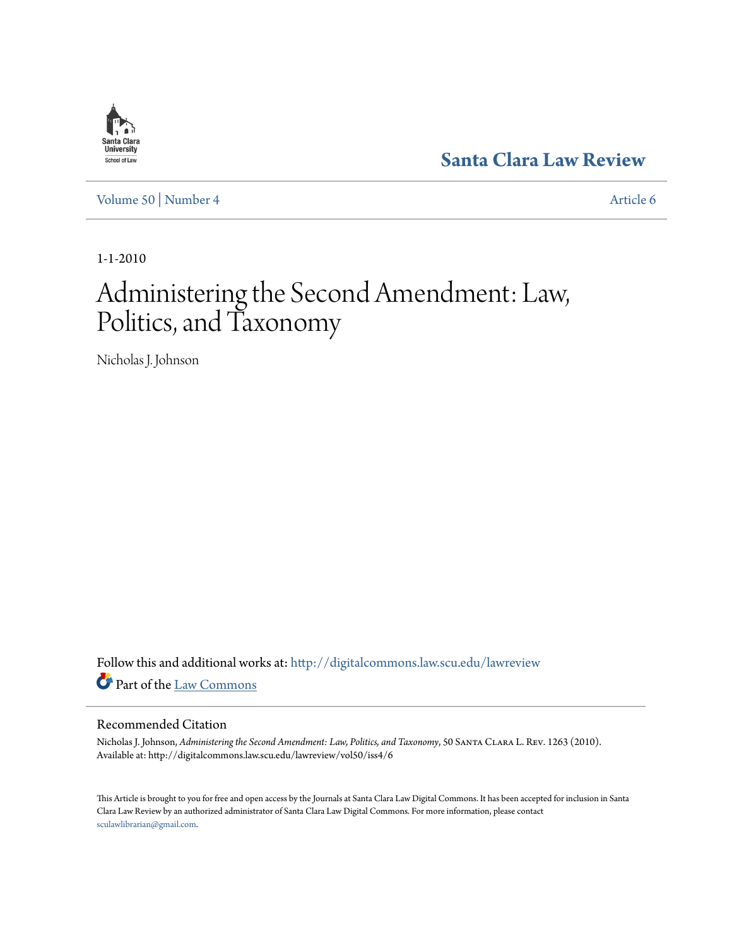

**[Santa Clara Law Review](http://digitalcommons.law.scu.edu/lawreview?utm_source=digitalcommons.law.scu.edu%2Flawreview%2Fvol50%2Fiss4%2F6&utm_medium=PDF&utm_campaign=PDFCoverPages)**

[Volume 50](http://digitalcommons.law.scu.edu/lawreview/vol50?utm_source=digitalcommons.law.scu.edu%2Flawreview%2Fvol50%2Fiss4%2F6&utm_medium=PDF&utm_campaign=PDFCoverPages) | [Number 4](http://digitalcommons.law.scu.edu/lawreview/vol50/iss4?utm_source=digitalcommons.law.scu.edu%2Flawreview%2Fvol50%2Fiss4%2F6&utm_medium=PDF&utm_campaign=PDFCoverPages) [Article 6](http://digitalcommons.law.scu.edu/lawreview/vol50/iss4/6?utm_source=digitalcommons.law.scu.edu%2Flawreview%2Fvol50%2Fiss4%2F6&utm_medium=PDF&utm_campaign=PDFCoverPages)

1-1-2010

# Administering the Second Amendment: Law, Politics, and Taxonomy

Nicholas J. Johnson

Follow this and additional works at: [http://digitalcommons.law.scu.edu/lawreview](http://digitalcommons.law.scu.edu/lawreview?utm_source=digitalcommons.law.scu.edu%2Flawreview%2Fvol50%2Fiss4%2F6&utm_medium=PDF&utm_campaign=PDFCoverPages) Part of the [Law Commons](http://network.bepress.com/hgg/discipline/578?utm_source=digitalcommons.law.scu.edu%2Flawreview%2Fvol50%2Fiss4%2F6&utm_medium=PDF&utm_campaign=PDFCoverPages)

#### Recommended Citation

Nicholas J. Johnson, *Administering the Second Amendment: Law, Politics, and Taxonomy*, 50 Santa Clara L. Rev. 1263 (2010). Available at: http://digitalcommons.law.scu.edu/lawreview/vol50/iss4/6

This Article is brought to you for free and open access by the Journals at Santa Clara Law Digital Commons. It has been accepted for inclusion in Santa Clara Law Review by an authorized administrator of Santa Clara Law Digital Commons. For more information, please contact [sculawlibrarian@gmail.com](mailto:sculawlibrarian@gmail.com).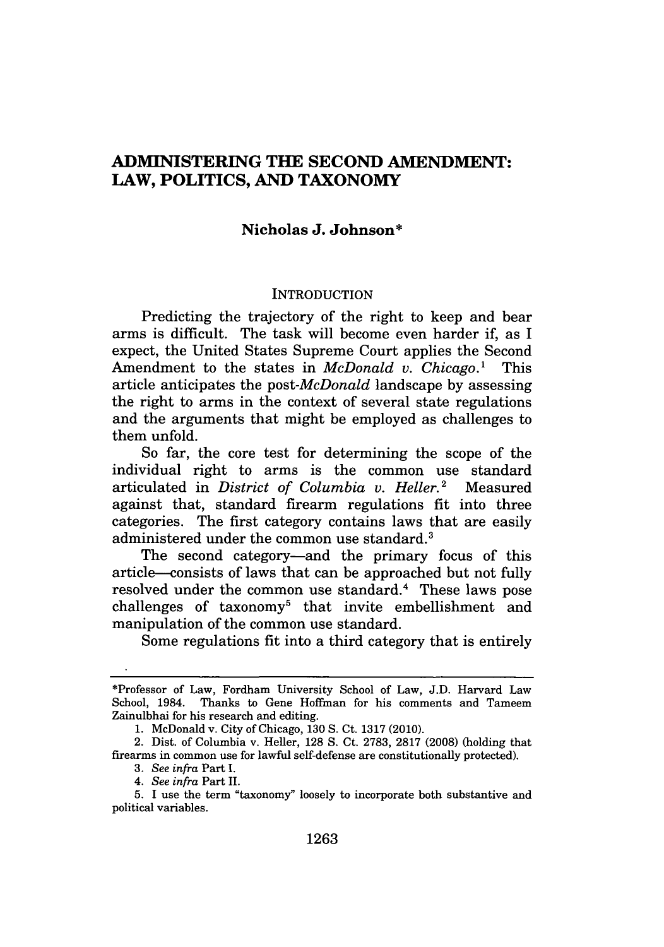## **ADMINISTERING THE SECOND AMENDMENT: LAW, POLITICS, AND TAXONOMY**

#### **Nicholas J. Johnson\***

#### **INTRODUCTION**

Predicting the trajectory of the right to keep and bear arms is difficult. The task will become even harder if, as **I** expect, the United States Supreme Court applies the Second Amendment to the states in *McDonald v. Chicago.'* This article anticipates the *post-McDonald* landscape by assessing the right to arms in the context of several state regulations and the arguments that might be employed as challenges to them unfold.

So far, the core test for determining the scope of the individual right to arms is the common use standard articulated in *District of Columbia v. Heller.2* Measured against that, standard firearm regulations fit into three categories. The first category contains laws that are easily administered under the common use standard.<sup>3</sup>

The second category-and the primary focus of this article-consists of laws that can be approached but not fully resolved under the common use standard.<sup>4</sup> These laws pose challenges of taxonomy5 that invite embellishment and manipulation of the common use standard.

Some regulations fit into a third category that is entirely

<sup>\*</sup>Professor of Law, Fordham University School of Law, J.D. Harvard Law School, 1984. Thanks to Gene Hoffman for his comments and Tameem Zainulbhai for his research and editing.

<sup>1.</sup> McDonald v. City of Chicago, 130 S. Ct. 1317 (2010).

<sup>2.</sup> Dist. of Columbia v. Heller, 128 S. Ct. 2783, 2817 (2008) (holding that firearms in common use for lawful self-defense are constitutionally protected).

**<sup>3.</sup>** See infra Part *I.*

<sup>4.</sup> *See infra* Part **II.**

**<sup>5.</sup> I** use the term "taxonomy" loosely to incorporate both substantive and political variables.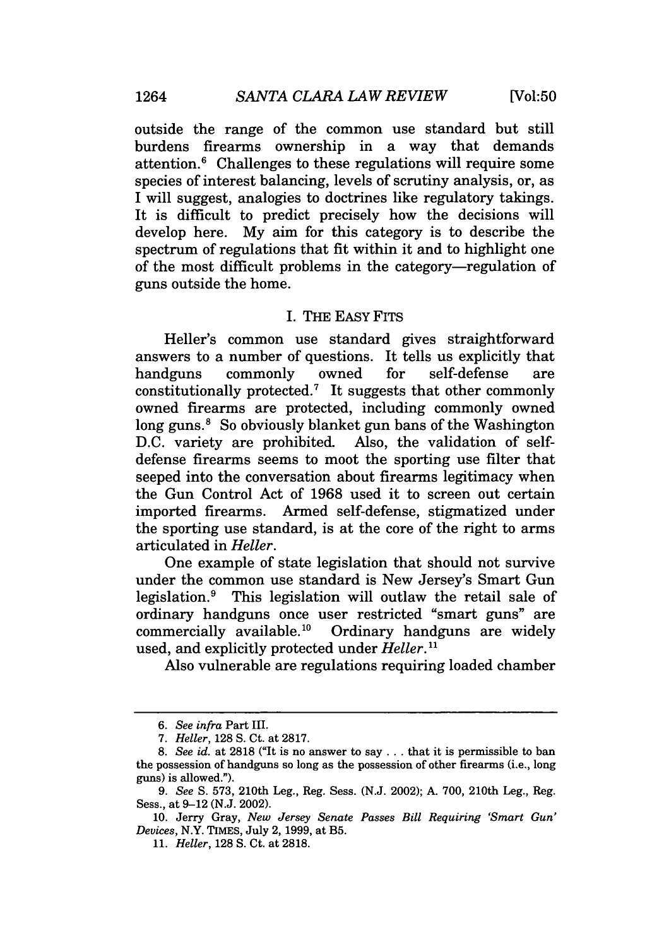outside the range of the common use standard but still burdens firearms ownership in a way that demands attention.6 Challenges to these regulations will require some species of interest balancing, levels of scrutiny analysis, or, as I will suggest, analogies to doctrines like regulatory takings. It is difficult to predict precisely how the decisions will develop here. My aim for this category is to describe the spectrum of regulations that fit within it and to highlight one of the most difficult problems in the category-regulation of guns outside the home.

#### I. THE EASY FITS

Heller's common use standard gives straightforward answers to a number of questions. It tells us explicitly that handguns commonly owned for self-defense are constitutionally protected.7 It suggests that other commonly owned firearms are protected, including commonly owned long guns.<sup>8</sup> So obviously blanket gun bans of the Washington D.C. variety are prohibited. Also, the validation of selfdefense firearms seems to moot the sporting use filter that seeped into the conversation about firearms legitimacy when the Gun Control Act of 1968 used it to screen out certain imported firearms. Armed self-defense, stigmatized under the sporting use standard, is at the core of the right to arms articulated in *Heller.*

One example of state legislation that should not survive under the common use standard is New Jersey's Smart Gun legislation.<sup>9</sup> This legislation will outlaw the retail sale of ordinary handguns once user restricted "smart guns" are commercially available.<sup>10</sup> Ordinary handguns are widely used, and explicitly protected under *Heller."*

Also vulnerable are regulations requiring loaded chamber

*<sup>6.</sup> See infra* Part III.

<sup>7.</sup> *Heller,* 128 **S.** Ct. at 2817.

*<sup>8.</sup> See id.* at 2818 ("It is no answer to say **...** that it is permissible to ban the possession of handguns so long as the possession of other firearms (i.e., long guns) is allowed.").

*<sup>9.</sup> See* **S.** 573, 210th Leg., Reg. Sess. (N.J. 2002); A. 700, 210th Leg., Reg. Sess., at 9-12 (N.J. 2002).

<sup>10.</sup> Jerry Gray, *New Jersey Senate Passes Bill Requiring 'Smart Gun' Devices,* N.Y. TIMES, July 2, 1999, at B5.

<sup>11.</sup> *Heller,* 128 **S.** Ct. at 2818.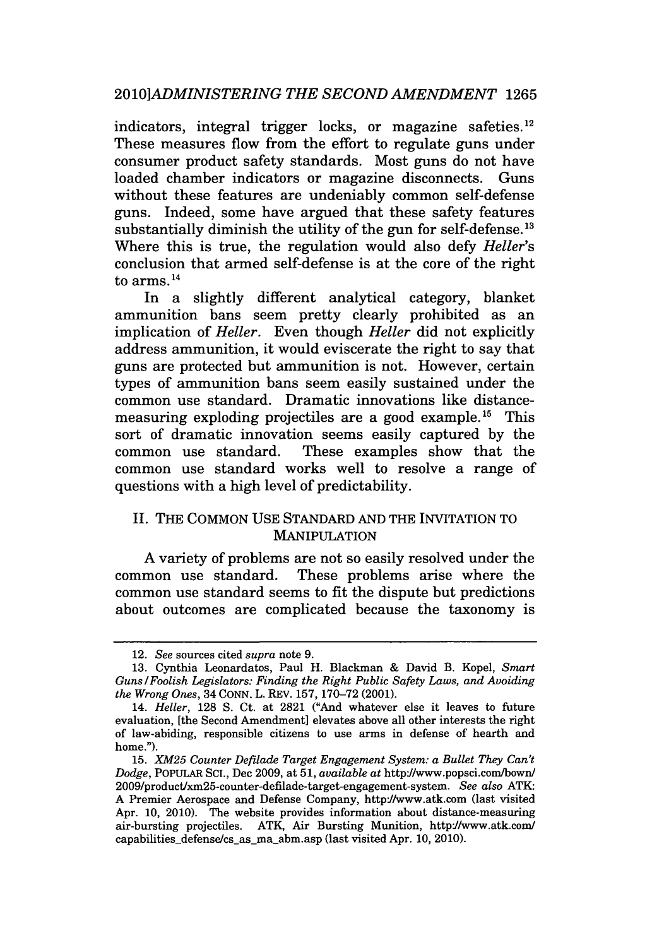#### *2010]ADMINISTERING THE SECOND AMENDMENT* 1265

indicators, integral trigger locks, or magazine safeties.<sup>12</sup> These measures flow from the effort to regulate guns under consumer product safety standards. Most guns do not have loaded chamber indicators or magazine disconnects. Guns without these features are undeniably common self-defense guns. Indeed, some have argued that these safety features substantially diminish the utility of the gun for self-defense. **13** Where this is true, the regulation would also defy *Heller's* conclusion that armed self-defense is at the core of the right to arms.14

In a slightly different analytical category, blanket ammunition bans seem pretty clearly prohibited as an implication of *Heller.* Even though *Heller* did not explicitly address ammunition, it would eviscerate the right to say that guns are protected but ammunition is not. However, certain types of ammunition bans seem easily sustained under the common use standard. Dramatic innovations like distancemeasuring exploding projectiles are a good example.<sup>15</sup> This sort of dramatic innovation seems easily captured by the common use standard. These examples show that the common use standard works well to resolve a range of questions with a high level of predictability.

### II. THE COMMON USE STANDARD AND THE INVITATION TO MANIPULATION

A variety of problems are not so easily resolved under the common use standard. These problems arise where the common use standard seems to fit the dispute but predictions about outcomes are complicated because the taxonomy is

<sup>12.</sup> *See* sources cited *supra* note 9.

<sup>13.</sup> Cynthia Leonardatos, Paul H. Blackman & David B. Kopel, *Smart Guns /Foolish Legislators: Finding the Right Public Safety Laws, and Avoiding the Wrong Ones,* 34 CONN. L. REV. 157, 170-72 (2001).

<sup>14.</sup> *Heller,* 128 S. Ct. at 2821 ("And whatever else it leaves to future evaluation, [the Second Amendment] elevates above all other interests the right of law-abiding, responsible citizens to use arms in defense of hearth and home.").

<sup>15.</sup> *XM25 Counter Defilade Target Engagement System: a Bullet They Can't Dodge,* POPULAR **SCI.,** Dec 2009, at 51, *available at* httpJ/www.popsci.com/bown/ 2009/product/xm25-counter-defilade-target-engagement-system. *See also* ATK: A Premier Aerospace and Defense Company, httpJ/www.atk.com (last visited Apr. 10, 2010). The website provides information about distance-measuring air-bursting projectiles. ATK, Air Bursting Munition, httpJ/www.atk.com/ capabilities defense/cs as ma abm.asp (last visited Apr. 10, 2010).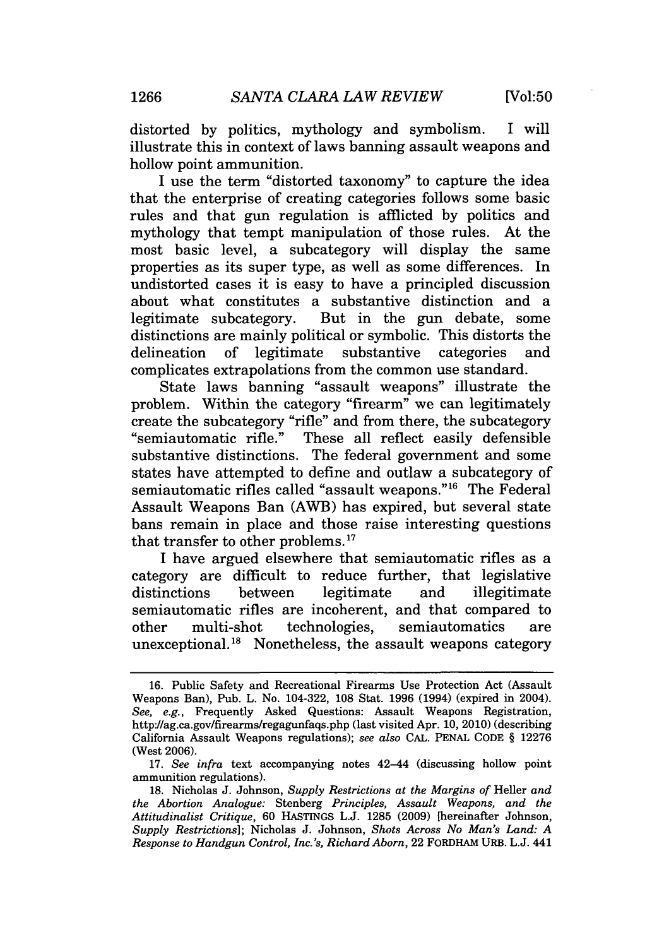distorted by politics, mythology and symbolism. I will illustrate this in context of laws banning assault weapons and hollow point ammunition.

I use the term "distorted taxonomy" to capture the idea that the enterprise of creating categories follows some basic rules and that gun regulation is afflicted by politics and mythology that tempt manipulation of those rules. At the most basic level, a subcategory will display the same properties as its super type, as well as some differences. In undistorted cases it is easy to have a principled discussion about what constitutes a substantive distinction and a legitimate subcategory. But in the gun debate, some distinctions are mainly political or symbolic. This distorts the delineation of legitimate substantive categories and complicates extrapolations from the common use standard.

State laws banning "assault weapons" illustrate the problem. Within the category "firearm" we can legitimately create the subcategory "rifle" and from there, the subcategory "semiautomatic rifle." These all reflect easily defensible substantive distinctions. The federal government and some states have attempted to define and outlaw a subcategory of semiautomatic rifles called "assault weapons."<sup>16</sup> The Federal Assault Weapons Ban (AWB) has expired, but several state bans remain in place and those raise interesting questions that transfer to other problems. <sup>17</sup>

I have argued elsewhere that semiautomatic rifles as a category are difficult to reduce further, that legislative distinctions between legitimate and illegitimate semiautomatic rifles are incoherent, and that compared to other multi-shot technologies, semiautomatics are unexceptional.18 Nonetheless, the assault weapons category

<sup>16.</sup> Public Safety and Recreational Firearms Use Protection Act (Assault Weapons Ban), Pub. L. No. 104-322, 108 Stat. 1996 (1994) (expired in 2004). *See, e.g.,* Frequently Asked Questions: Assault Weapons Registration, http://ag.ca.gov/firearms/regagunfaqs.php (last visited Apr. 10, 2010) (describing California Assault Weapons regulations); *see also* CAL. **PENAL CODE** § 12276 (West 2006).

<sup>17.</sup> *See infra* text accompanying notes 42-44 (discussing hollow point ammunition regulations).

<sup>18.</sup> Nicholas J. Johnson, *Supply Restrictions at the Margins of* Heller *and the Abortion Analogue:* Stenberg *Principles, Assault Weapons, and the Attitudinalist Critique,* 60 HASTINGS L.J. 1285 (2009) [hereinafter Johnson, *Supply Restrictions];* Nicholas J. Johnson, *Shots Across No Man's Land: A Response to Handgun Control, Inc.'s, Richard Aborn,* 22 FORDHAM URB. L.J. 441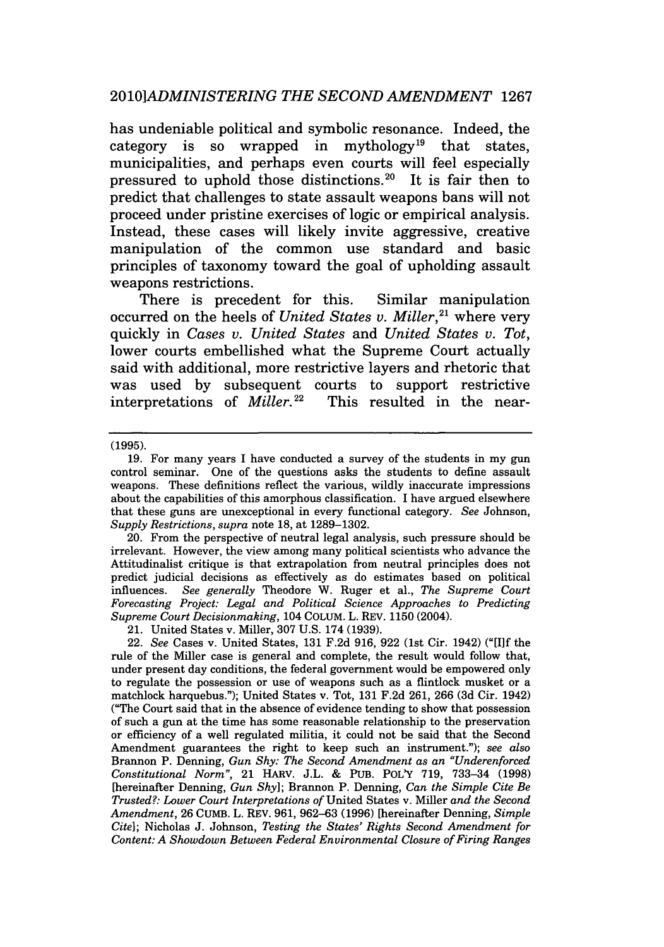has undeniable political and symbolic resonance. Indeed, the category is so wrapped in mythology<sup>19</sup> that states, municipalities, and perhaps even courts will feel especially pressured to uphold those distinctions.<sup>20</sup> It is fair then to predict that challenges to state assault weapons bans will not proceed under pristine exercises of logic or empirical analysis. Instead, these cases will likely invite aggressive, creative manipulation of the common use standard and basic principles of taxonomy toward the goal of upholding assault weapons restrictions.

There is precedent for this. Similar manipulation occurred on the heels of *United States v. Miller*,<sup>21</sup> where very quickly in *Cases v. United States* and *United States v. Tot,* lower courts embellished what the Supreme Court actually said with additional, more restrictive layers and rhetoric that was used **by** subsequent courts to support restrictive interpretations of *Miller.*<sup>22</sup> This resulted in the near-

**(1995).**

20. From the perspective of neutral legal analysis, such pressure should be irrelevant. However, the view among many political scientists who advance the Attitudinalist critique is that extrapolation from neutral principles does not predict judicial decisions as effectively as do estimates based on political influences. *See generally* Theodore W. Ruger et al., *The Supreme Court Forecasting Project: Legal and Political Science Approaches to Predicting Supreme Court Decisionmaking,* 104 COLUM. L. REV. 1150 (2004).

21. United States v. Miller, 307 U.S. 174 (1939).

22. *See* Cases v. United States, 131 F.2d 916, 922 (1st Cir. 1942) ("[Ilf the rule of the Miller case is general and complete, the result would follow that, under present day conditions, the federal government would be empowered only to regulate the possession or use of weapons such as a flintlock musket or a matchlock harquebus."); United States v. Tot, 131 F.2d 261, 266 (3d Cir. 1942) ("The Court said that in the absence of evidence tending to show that possession of such a gun at the time has some reasonable relationship to the preservation or efficiency of a well regulated militia, it could not be said that the Second Amendment guarantees the right to keep such an instrument."); *see also* Brannon P. Denning, *Gun Shy: The Second Amendment as an "Underenforced Constitutional Norm",* 21 HARV. J.L. & PUB. POLY 719, 733-34 (1998) [hereinafter Denning, *Gun Shy];* Brannon P. Denning, *Can the Simple Cite Be Trusted?: Lower Court Interpretations of* United States v. Miller *and the Second Amendment,* 26 CUMB. L. REV. 961, 962-63 (1996) [hereinafter Denning, *Simple Cite];* Nicholas J. Johnson, *Testing the States' Rights Second Amendment for Content: A Showdown Between Federal Environmental Closure of Firing Ranges*

<sup>19.</sup> For many years I have conducted a survey of the students in my gun control seminar. One of the questions asks the students to define assault weapons. These definitions reflect the various, wildly inaccurate impressions about the capabilities of this amorphous classification. I have argued elsewhere that these guns are unexceptional in every functional category. *See* Johnson, *Supply Restrictions, supra* note 18, at 1289-1302.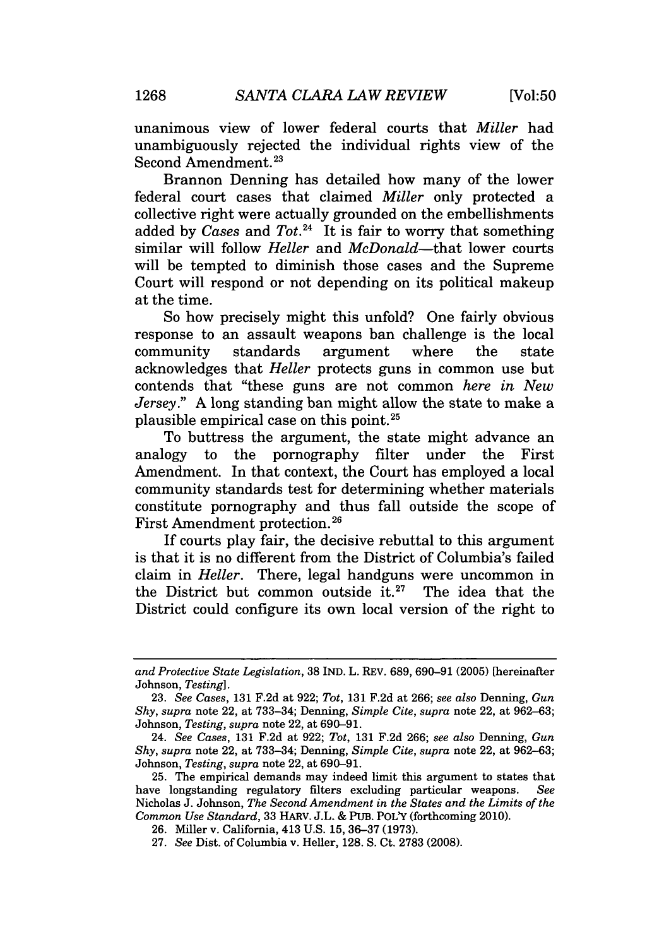unanimous view of lower federal courts that *Miller* had unambiguously rejected the individual rights view of the Second Amendment.<sup>23</sup>

Brannon Denning has detailed how many of the lower federal court cases that claimed *Miller* only protected a collective right were actually grounded on the embellishments added by *Cases* and *Tot.24* It is fair to worry that something similar will follow *Heller* and *McDonald-that* lower courts will be tempted to diminish those cases and the Supreme Court will respond or not depending on its political makeup at the time.

So how precisely might this unfold? One fairly obvious response to an assault weapons ban challenge is the local community standards argument where the state acknowledges that *Heller* protects guns in common use but contends that "these guns are not common *here in New Jersey.*" A long standing ban might allow the state to make a plausible empirical case on this point.25

To buttress the argument, the state might advance an analogy to the pornography filter under the First Amendment. In that context, the Court has employed a local community standards test for determining whether materials constitute pornography and thus fall outside the scope of First Amendment protection. **26**

If courts play fair, the decisive rebuttal to this argument is that it is no different from the District of Columbia's failed claim in *Heller.* There, legal handguns were uncommon in the District but common outside it.<sup>27</sup> The idea that the District could configure its own local version of the right to

*and Protective State Legislation,* 38 IND. L. REv. 689, 690-91 (2005) [hereinafter Johnson, *Testing].*

<sup>23.</sup> *See Cases,* 131 F.2d at 922; *Tot,* 131 F.2d at 266; *see also* Denning, *Gun Shy, supra* note 22, at 733-34; Denning, *Simple Cite, supra* note 22, at 962-63; Johnson, *Testing, supra* note 22, at 690-91.

<sup>24.</sup> *See Cases,* 131 F.2d at 922; *Tot,* 131 F.2d 266; *see also* Denning, *Gun Shy, supra* note 22, at 733-34; Denning, *Simple Cite, supra* note 22, at 962-63; Johnson, *Testing, supra* note 22, at 690-91.

<sup>25.</sup> The empirical demands may indeed limit this argument to states that have longstanding regulatory filters excluding particular weapons. *See* Nicholas J. Johnson, *The Second Amendment in the States and the Limits of the Common Use Standard,* 33 HARv. J.L. & PUB. POLY (forthcoming 2010).

<sup>26.</sup> Miller v. California, 413 U.S. 15, 36-37 (1973).

<sup>27.</sup> *See* Dist. of Columbia v. Heller, 128. S. Ct. 2783 (2008).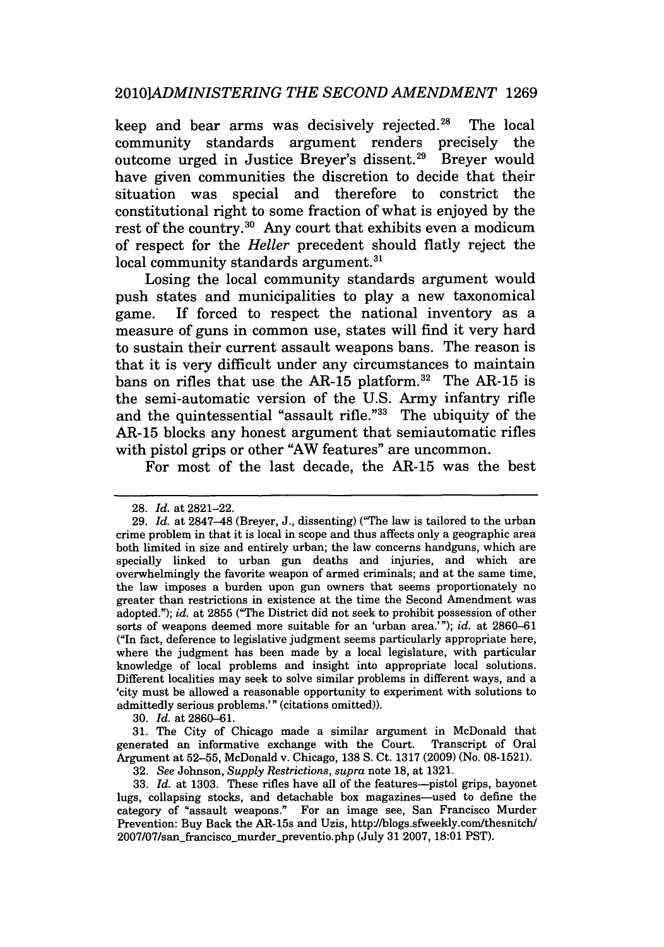keep and bear arms was decisively rejected.<sup>28</sup> The local community standards argument renders precisely the outcome urged in Justice Brever's dissent.<sup>29</sup> Brever would have given communities the discretion to decide that their situation was special and therefore to constrict the constitutional right to some fraction of what is enjoyed by the rest of the country.<sup>30</sup> Any court that exhibits even a modicum of respect for the *Heller* precedent should flatly reject the local community standards argument.<sup>31</sup>

push states and municipalities to play a new taxonomical game. If forced to respect the national inventory as a measure of guns in common use, states will find it very hard to sustain their current assault weapons bans. The reason is that it is very difficult under any circumstances to maintain bans on rifles that use the AR-15 platform. $32$  The AR-15 is the semi-automatic version of the U.S. Army infantry rifle and the quintessential "assault rifle."<sup>33</sup> The ubiquity of the AR-15 blocks any honest argument that semiautomatic rifles with pistol grips or other "AW features" are uncommon.

For most of the last decade, the AR-15 was the best

30. *Id.* at 2860-61.

31. The City of Chicago made a similar argument in McDonald that generated an informative exchange with the Court. Transcript of Oral Argument at 52-55, McDonald v. Chicago, 138 S. Ct. 1317 (2009) (No. 08-1521).

32. *See* Johnson, *Supply Restrictions, supra* note 18, at 1321.

<sup>28.</sup> *Id.* at 2821-22.

<sup>29.</sup> *Id.* at 2847-48 (Breyer, J., dissenting) ("The law is tailored to the urban crime problem in that it is local in scope and thus affects only a geographic area both limited in size and entirely urban; the law concerns handguns, which are specially linked to urban gun deaths and injuries, and which are overwhelmingly the favorite weapon of armed criminals; and at the same time, the law imposes a burden upon gun owners that seems proportionately no greater than restrictions in existence at the time the Second Amendment was adopted."); *id.* at 2855 ("The District did not seek to prohibit possession of other sorts of weapons deemed more suitable for an 'urban area.'"); *id.* at 2860-61 ("In fact, deference to legislative judgment seems particularly appropriate here, where the judgment has been made by a local legislature, with particular knowledge of local problems and insight into appropriate local solutions. Different localities may seek to solve similar problems in different ways, and a 'city must be allowed a reasonable opportunity to experiment with solutions to admittedly serious problems.'" (citations omitted)).

<sup>33.</sup> *Id.* at 1303. These rifles have all of the features--pistol grips, bayonet lugs, collapsing stocks, and detachable box magazines-used to define the category of "assault weapons." For an image see, San Francisco Murder Prevention: Buy Back the AR-15s and Uzis, http://blogs.sfweekly.com/thesnitch/ 2007/07/san.francisco murder-preventio.php (July 31 2007, 18:01 PST).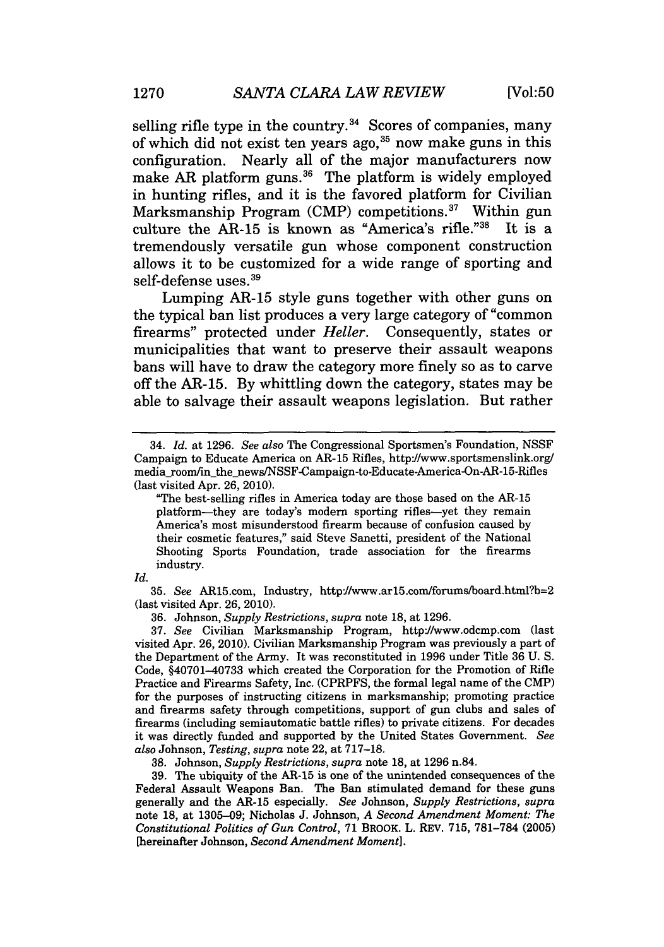selling rifle type in the country. $34$  Scores of companies, many of which did not exist ten years ago, 35 now make guns in this configuration. Nearly all of the major manufacturers now make AR platform guns.<sup>36</sup> The platform is widely employed in hunting rifles, and it is the favored platform for Civilian Marksmanship Program (CMP) competitions.<sup>37</sup> Within gun culture the AR-15 is known as "America's rifle."38 It is a tremendously versatile gun whose component construction allows it to be customized for a wide range of sporting and self-defense uses.<sup>39</sup>

Lumping AR-15 style guns together with other guns on the typical ban list produces a very large category of "common firearms" protected under *Heller.* Consequently, states or municipalities that want to preserve their assault weapons bans will have to draw the category more finely so as to carve off the AR-15. By whittling down the category, states may be able to salvage their assault weapons legislation. But rather

*Id.*

35. See AR15.com, Industry, http://www.ar15.com/forums/board.html?b=2 (last visited Apr. 26, 2010).

36. Johnson, *Supply Restrictions, supra* note 18, at 1296.

37. *See* Civilian Marksmanship Program, http://www.odcmp.com (last visited Apr. 26, 2010). Civilian Marksmanship Program was previously a part of the Department of the Army. It was reconstituted in 1996 under Title 36 U. S. Code, §40701-40733 which created the Corporation for the Promotion of Rifle Practice and Firearms Safety, Inc. (CPRPFS, the formal legal name of the CMP) for the purposes of instructing citizens in marksmanship; promoting practice and firearms safety through competitions, support of gun clubs and sales of firearms (including semiautomatic battle rifles) to private citizens. For decades it was directly funded and supported by the United States Government. *See also* Johnson, *Testing, supra* note 22, at 717-18.

38. Johnson, *Supply Restrictions, supra* note 18, at 1296 n.84.

**39.** The ubiquity of the AR-15 is one of the unintended consequences of the Federal Assault Weapons Ban. The Ban stimulated demand for these guns generally and the AR-15 especially. *See* Johnson, *Supply Restrictions, supra* note 18, at 1305-09; Nicholas J. Johnson, *A Second Amendment Moment: The Constitutional Politics of Gun Control,* **71** BROOK. L. REV. 715, 781-784 (2005) [hereinafter Johnson, *Second Amendment Moment].*

<sup>34.</sup> *Id.* at 1296. *See also* The Congressional Sportsmen's Foundation, NSSF Campaign to Educate America on AR-15 Rifles, http://www.sportsmenslink.org/ media room/in the news/NSSF-Campaign-to-Educate-America-On-AR-15-Rifles (last visited Apr. 26, 2010).

<sup>&</sup>quot;The best-selling rifles in America today are those based on the AR-15 platform-they are today's modem sporting rifles-yet they remain America's most misunderstood firearm because of confusion caused by their cosmetic features," said Steve Sanetti, president of the National Shooting Sports Foundation, trade association for the firearms industry.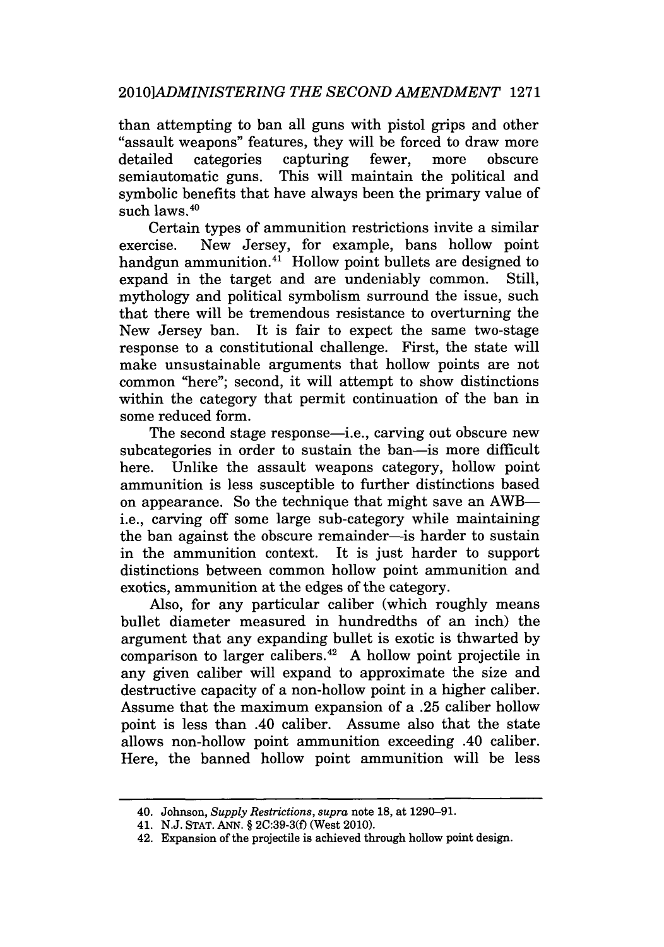than attempting to ban all guns with pistol grips and other "assault weapons" features, they will be forced to draw more detailed categories capturing fewer, more obscure semiautomatic guns. This will maintain the political and symbolic benefits that have always been the primary value of such  $\text{laws}$ .  $40$ 

Certain types of ammunition restrictions invite a similar exercise. New Jersey, for example, bans hollow point handgun ammunition.<sup>41</sup> Hollow point bullets are designed to expand in the target and are undeniably common. Still, mythology and political symbolism surround the issue, such that there will be tremendous resistance to overturning the New Jersey ban. It is fair to expect the same two-stage response to a constitutional challenge. First, the state will make unsustainable arguments that hollow points are not common "here"; second, it will attempt to show distinctions within the category that permit continuation of the ban in some reduced form.

The second stage response—i.e., carving out obscure new subcategories in order to sustain the ban-is more difficult here. Unlike the assault weapons category, hollow point ammunition is less susceptible to further distinctions based on appearance. So the technique that might save an AWBi.e., carving off some large sub-category while maintaining the ban against the obscure remainder-is harder to sustain in the ammunition context. It is just harder to support distinctions between common hollow point ammunition and exotics, ammunition at the edges of the category.

Also, for any particular caliber (which roughly means bullet diameter measured in hundredths of an inch) the argument that any expanding bullet is exotic is thwarted by comparison to larger calibers.42 A hollow point projectile in any given caliber will expand to approximate the size and destructive capacity of a non-hollow point in a higher caliber. Assume that the maximum expansion of a .25 caliber hollow point is less than .40 caliber. Assume also that the state allows non-hollow point ammunition exceeding .40 caliber. Here, the banned hollow point ammunition will be less

<sup>40.</sup> Johnson, *Supply Restrictions, supra* note 18, at 1290-91.

<sup>41.</sup> N.J. STAT. ANN. § 2C:39-3(f) (West 2010).

<sup>42.</sup> Expansion of the projectile is achieved through hollow point design.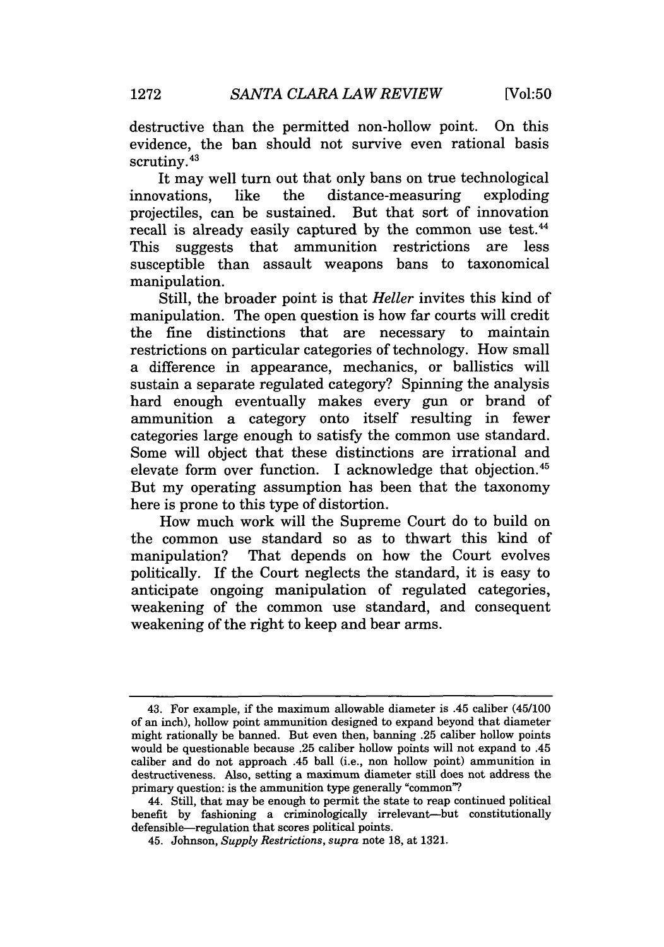destructive than the permitted non-hollow point. On this evidence, the ban should not survive even rational basis scrutiny.<sup>43</sup>

It may well turn out that only bans on true technological innovations, like the distance-measuring exploding projectiles, can be sustained. But that sort of innovation recall is already easily captured by the common use test.<sup>44</sup> This suggests that ammunition restrictions are less susceptible than assault weapons bans to taxonomical manipulation.

Still, the broader point is that *Heller* invites this kind of manipulation. The open question is how far courts will credit the fine distinctions that are necessary to maintain restrictions on particular categories of technology. How small a difference in appearance, mechanics, or ballistics will sustain a separate regulated category? Spinning the analysis hard enough eventually makes every gun or brand of ammunition a category onto itself resulting in fewer categories large enough to satisfy the common use standard. Some will object that these distinctions are irrational and elevate form over function. I acknowledge that objection. <sup>45</sup> But my operating assumption has been that the taxonomy here is prone to this type of distortion.

How much work will the Supreme Court do to build on the common use standard so as to thwart this kind of manipulation? That depends on how the Court evolves politically. If the Court neglects the standard, it is easy to anticipate ongoing manipulation of regulated categories, weakening of the common use standard, and consequent weakening of the right to keep and bear arms.

<sup>43.</sup> For example, if the maximum allowable diameter is .45 caliber (45/100 of an inch), hollow point ammunition designed to expand beyond that diameter might rationally be banned. But even then, banning .25 caliber hollow points would be questionable because .25 caliber hollow points will not expand to .45 caliber and do not approach .45 ball (i.e., non hollow point) ammunition in destructiveness. Also, setting a maximum diameter still does not address the primary question: is the ammunition type generally "common"?

<sup>44.</sup> Still, that may be enough to permit the state to reap continued political benefit by fashioning a criminologically irrelevant-but constitutionally defensible-regulation that scores political points.

<sup>45.</sup> Johnson, *Supply Restrictions, supra* note 18, at 1321.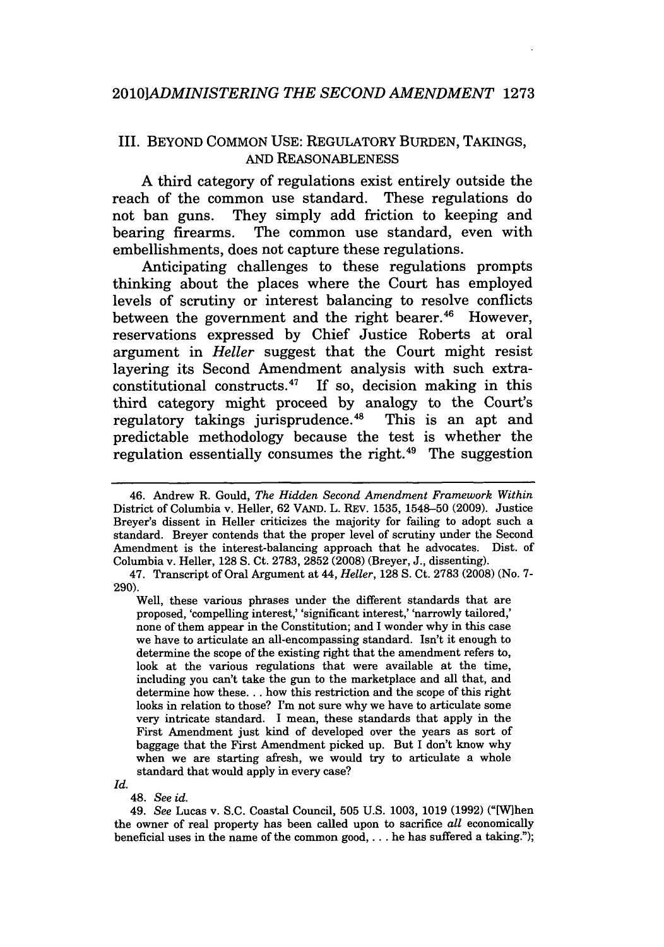#### III. BEYOND COMMON USE: REGULATORY BURDEN, TAKINGS, AND REASONABLENESS

**A** third category of regulations exist entirely outside the reach of the common use standard. These regulations do not ban guns. They simply add friction to keeping and bearing firearms. The common use standard, even with embellishments, does not capture these regulations.

Anticipating challenges to these regulations prompts thinking about the places where the Court has employed levels of scrutiny or interest balancing to resolve conflicts between the government and the right bearer.<sup>46</sup> However, reservations expressed **by** Chief Justice Roberts at oral argument in *Heller* suggest that the Court might resist layering its Second Amendment analysis with such extraconstitutional constructs.47 If so, decision making in this third category might proceed **by** analogy to the Court's regulatory takings jurisprudence.<sup>48</sup> This is an apt and predictable methodology because the test is whether the regulation essentially consumes the right.<sup>49</sup> The suggestion

*Id.*

48. *See id.*

<sup>46.</sup> Andrew R. Gould, *The Hidden Second Amendment Framework Within* District of Columbia v. Heller, 62 VAND. L. REV. 1535, 1548-50 (2009). Justice Breyer's dissent in Heller criticizes the majority for failing to adopt such a standard. Breyer contends that the proper level of scrutiny under the Second Amendment is the interest-balancing approach that he advocates. Dist. of Columbia v. Heller, 128 **S.** Ct. 2783, 2852 (2008) (Breyer, J., dissenting).

<sup>47.</sup> Transcript of Oral Argument at 44, *Heller,* 128 **S.** Ct. 2783 (2008) (No. 7- 290).

Well, these various phrases under the different standards that are proposed, 'compelling interest,' 'significant interest,' 'narrowly tailored,' none of them appear in the Constitution; and I wonder why in this case we have to articulate an all-encompassing standard. Isn't it enough to determine the scope of the existing right that the amendment refers to, look at the various regulations that were available at the time, including you can't take the gun to the marketplace and all that, and determine how these... how this restriction and the scope of this right looks in relation to those? I'm not sure why we have to articulate some very intricate standard. I mean, these standards that apply in the First Amendment just kind of developed over the years as sort of baggage that the First Amendment picked up. But I don't know why when we are starting afresh, we would try to articulate a whole standard that would apply in every case?

<sup>49.</sup> *See* Lucas v. S.C. Coastal Council, 505 U.S. 1003, 1019 (1992) ("[Wlhen the owner of real property has been called upon to sacrifice *all* economically beneficial uses in the name of the common good,... he has suffered a taking.");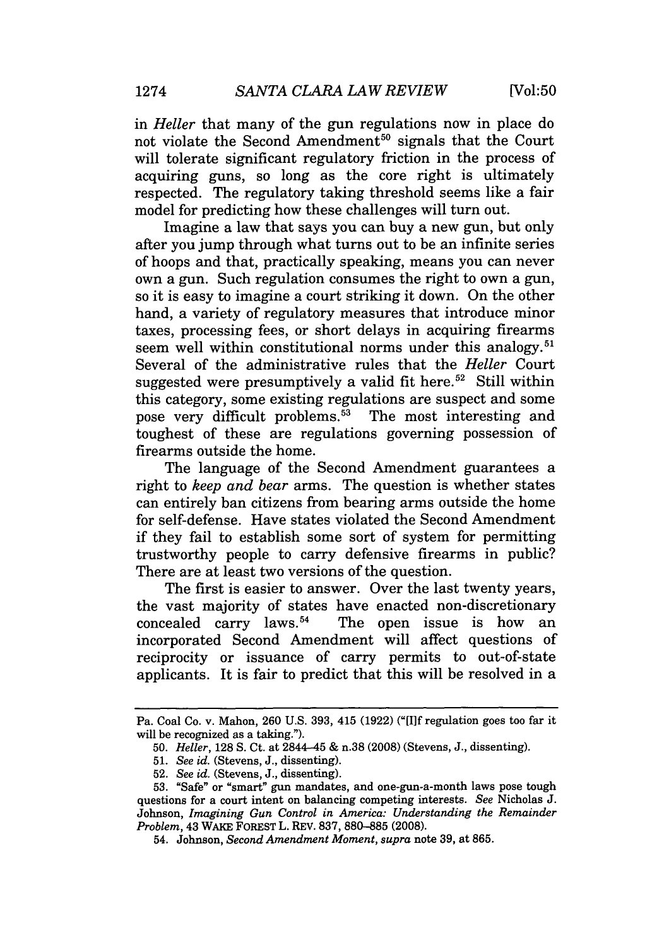in *Heller* that many of the gun regulations now in place do not violate the Second Amendment<sup>50</sup> signals that the Court will tolerate significant regulatory friction in the process of acquiring guns, so long as the core right is ultimately respected. The regulatory taking threshold seems like a fair model for predicting how these challenges will turn out.

Imagine a law that says you can buy a new gun, but only after you jump through what turns out to be an infinite series of hoops and that, practically speaking, means you can never own a gun. Such regulation consumes the right to own a gun, so it is easy to imagine a court striking it down. On the other hand, a variety of regulatory measures that introduce minor taxes, processing fees, or short delays in acquiring firearms seem well within constitutional norms under this analogy.<sup>51</sup> Several of the administrative rules that the *Heller* Court suggested were presumptively a valid fit here.<sup>52</sup> Still within this category, some existing regulations are suspect and some pose very difficult problems. $53$  The most interesting and toughest of these are regulations governing possession of firearms outside the home.

The language of the Second Amendment guarantees a right to *keep and bear* arms. The question is whether states can entirely ban citizens from bearing arms outside the home for self-defense. Have states violated the Second Amendment if they fail to establish some sort of system for permitting trustworthy people to carry defensive firearms in public? There are at least two versions of the question.

The first is easier to answer. Over the last twenty years, the vast majority of states have enacted non-discretionary<br>concealed carry laws.<sup>54</sup> The open issue is how an The open issue is how an incorporated Second Amendment will affect questions of reciprocity or issuance of carry permits to out-of-state applicants. It is fair to predict that this will be resolved in a

Pa. Coal Co. v. Mahon, 260 U.S. 393, 415 (1922) **("[11f** regulation goes too far it will be recognized as a taking.").

<sup>50.</sup> *Heller,* 128 **S.** Ct. at 2844-45 & n.38 (2008) (Stevens, J., dissenting).

<sup>51.</sup> *See id.* (Stevens, J., dissenting).

<sup>52.</sup> *See id.* (Stevens, J., dissenting).

<sup>53. &</sup>quot;Safe" or "smart" gun mandates, and one-gun-a-month laws pose tough questions for a court intent on balancing competing interests. *See* Nicholas J. Johnson, *Imagining Gun Control in America: Understanding the Remainder Problem,* 43 WAKE FOREST L. REV. 837, 880-885 (2008).

<sup>54.</sup> Johnson, *Second Amendment Moment, supra* note 39, at 865.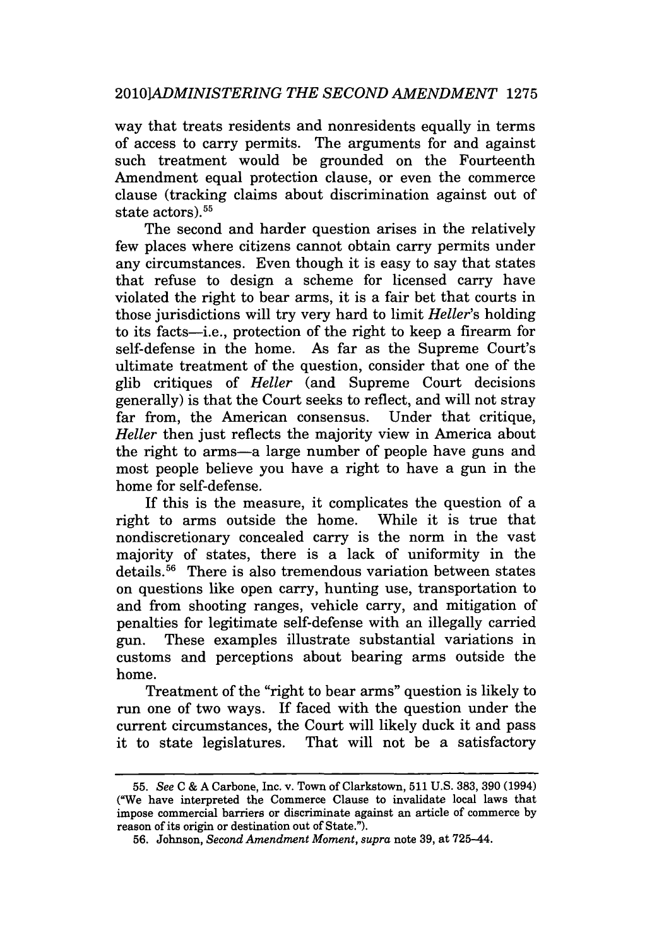way that treats residents and nonresidents equally in terms of access to carry permits. The arguments for and against such treatment would be grounded on the Fourteenth Amendment equal protection clause, or even the commerce clause (tracking claims about discrimination against out of state actors). <sup>55</sup>

The second and harder question arises in the relatively few places where citizens cannot obtain carry permits under any circumstances. Even though it is easy to say that states that refuse to design a scheme for licensed carry have violated the right to bear arms, it is a fair bet that courts in those jurisdictions will try very hard to limit *Heller's* holding to its facts-i.e., protection of the right to keep a firearm for self-defense in the home. As far as the Supreme Court's ultimate treatment of the question, consider that one of the glib critiques of *Heller* (and Supreme Court decisions generally) is that the Court seeks to reflect, and will not stray far from, the American consensus. Under that critique, *Heller* then just reflects the majority view in America about the right to arms-a large number of people have guns and most people believe you have a right to have a gun in the home for self-defense.

If this is the measure, it complicates the question of a right to arms outside the home. While it is true that nondiscretionary concealed carry is the norm in the vast majority of states, there is a lack of uniformity in the details. 56 There is also tremendous variation between states on questions like open carry, hunting use, transportation to and from shooting ranges, vehicle carry, and mitigation of penalties for legitimate self-defense with an illegally carried gun. These examples illustrate substantial variations in customs and perceptions about bearing arms outside the home.

Treatment of the "right to bear arms" question is likely to run one of two ways. If faced with the question under the current circumstances, the Court will likely duck it and pass it to state legislatures. That will not be a satisfactory

<sup>55.</sup> *See* C & A Carbone, Inc. v. Town of Clarkstown, 511 U.S. 383, 390 (1994) ("We have interpreted the Commerce Clause to invalidate local laws that impose commercial barriers or discriminate against an article of commerce by reason of its origin or destination out of State.").

<sup>56.</sup> Johnson, *Second Amendment Moment, supra* note 39, at 725-44.